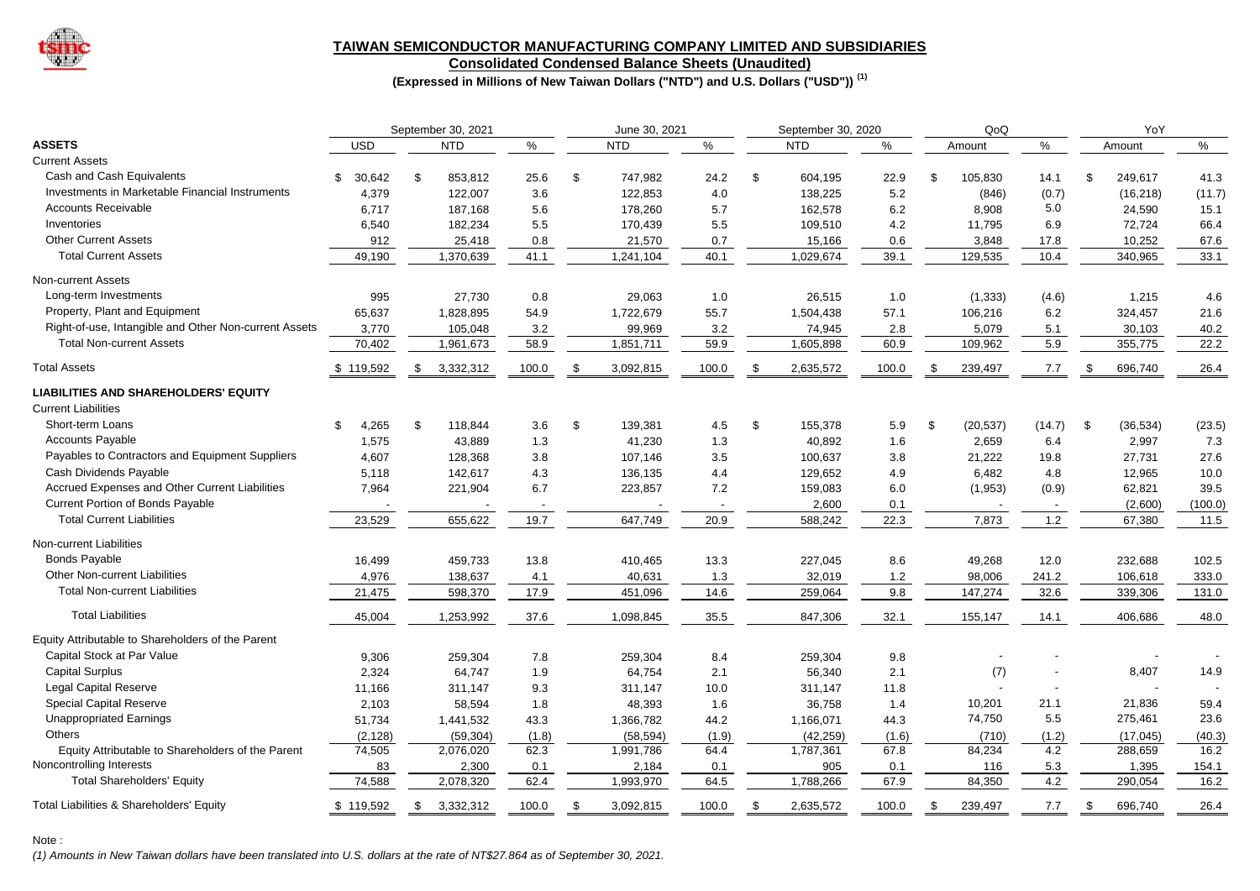

**Consolidated Condensed Balance Sheets (Unaudited)**

**(Expressed in Millions of New Taiwan Dollars ("NTD") and U.S. Dollars ("USD")) (1)**

|                                                       | September 30, 2021 |                 |       | June 30, 2021 |            |                          |     | September 30, 2020 |       |      | QoQ       |        |      | YoY       |         |  |
|-------------------------------------------------------|--------------------|-----------------|-------|---------------|------------|--------------------------|-----|--------------------|-------|------|-----------|--------|------|-----------|---------|--|
| <b>ASSETS</b>                                         | <b>USD</b>         | <b>NTD</b>      | $\%$  |               | <b>NTD</b> | $\%$                     |     | <b>NTD</b>         | $\%$  |      | Amount    | $\%$   |      | Amount    | $\%$    |  |
| <b>Current Assets</b>                                 |                    |                 |       |               |            |                          |     |                    |       |      |           |        |      |           |         |  |
| Cash and Cash Equivalents                             | 30,642<br>\$.      | \$<br>853,812   | 25.6  | \$            | 747,982    | 24.2                     | \$  | 604,195            | 22.9  | \$   | 105,830   | 14.1   | \$   | 249,617   | 41.3    |  |
| Investments in Marketable Financial Instruments       | 4,379              | 122,007         | 3.6   |               | 122,853    | 4.0                      |     | 138,225            | 5.2   |      | (846)     | (0.7)  |      | (16, 218) | (11.7)  |  |
| <b>Accounts Receivable</b>                            | 6,717              | 187,168         | 5.6   |               | 178,260    | 5.7                      |     | 162,578            | 6.2   |      | 8,908     | 5.0    |      | 24,590    | 15.1    |  |
| Inventories                                           | 6,540              | 182,234         | 5.5   |               | 170,439    | 5.5                      |     | 109,510            | 4.2   |      | 11,795    | 6.9    |      | 72,724    | 66.4    |  |
| <b>Other Current Assets</b>                           | 912                | 25,418          | 0.8   |               | 21,570     | 0.7                      |     | 15,166             | 0.6   |      | 3,848     | 17.8   |      | 10,252    | 67.6    |  |
| <b>Total Current Assets</b>                           | 49,190             | 1,370,639       | 41.1  |               | 1,241,104  | 40.1                     |     | 1,029,674          | 39.1  |      | 129,535   | 10.4   |      | 340,965   | 33.1    |  |
| Non-current Assets                                    |                    |                 |       |               |            |                          |     |                    |       |      |           |        |      |           |         |  |
| Long-term Investments                                 | 995                | 27,730          | 0.8   |               | 29,063     | 1.0                      |     | 26,515             | 1.0   |      | (1, 333)  | (4.6)  |      | 1,215     | 4.6     |  |
| Property, Plant and Equipment                         | 65,637             | 1,828,895       | 54.9  |               | 1,722,679  | 55.7                     |     | 1,504,438          | 57.1  |      | 106,216   | 6.2    |      | 324,457   | 21.6    |  |
| Right-of-use, Intangible and Other Non-current Assets | 3,770              | 105,048         | 3.2   |               | 99,969     | 3.2                      |     | 74,945             | 2.8   |      | 5,079     | 5.1    |      | 30,103    | 40.2    |  |
| <b>Total Non-current Assets</b>                       | 70,402             | 1,961,673       | 58.9  |               | 1,851,711  | 59.9                     |     | 1,605,898          | 60.9  |      | 109,962   | 5.9    |      | 355,775   | 22.2    |  |
|                                                       |                    |                 |       |               |            |                          |     |                    |       |      |           |        |      |           |         |  |
| <b>Total Assets</b>                                   | \$119,592          | 3,332,312<br>\$ | 100.0 | \$            | 3,092,815  | 100.0                    | -\$ | 2,635,572          | 100.0 | -SS  | 239,497   | 7.7    |      | 696,740   | 26.4    |  |
| <b>LIABILITIES AND SHAREHOLDERS' EQUITY</b>           |                    |                 |       |               |            |                          |     |                    |       |      |           |        |      |           |         |  |
| <b>Current Liabilities</b>                            |                    |                 |       |               |            |                          |     |                    |       |      |           |        |      |           |         |  |
| Short-term Loans                                      | \$<br>4,265        | \$<br>118,844   | 3.6   | \$            | 139,381    | 4.5                      | \$  | 155.378            | 5.9   | \$   | (20, 537) | (14.7) | - \$ | (36, 534) | (23.5)  |  |
| <b>Accounts Payable</b>                               | 1,575              | 43,889          | 1.3   |               | 41,230     | 1.3                      |     | 40,892             | 1.6   |      | 2,659     | 6.4    |      | 2,997     | 7.3     |  |
| Payables to Contractors and Equipment Suppliers       | 4,607              | 128,368         | 3.8   |               | 107,146    | 3.5                      |     | 100,637            | 3.8   |      | 21,222    | 19.8   |      | 27,731    | 27.6    |  |
| Cash Dividends Payable                                | 5,118              | 142,617         | 4.3   |               | 136,135    | 4.4                      |     | 129,652            | 4.9   |      | 6,482     | 4.8    |      | 12,965    | 10.0    |  |
| Accrued Expenses and Other Current Liabilities        | 7,964              | 221,904         | 6.7   |               | 223,857    | 7.2                      |     | 159,083            | 6.0   |      | (1, 953)  | (0.9)  |      | 62,821    | 39.5    |  |
| Current Portion of Bonds Payable                      |                    |                 |       |               |            | $\overline{\phantom{a}}$ |     | 2,600              | 0.1   |      |           |        |      | (2,600)   | (100.0) |  |
| <b>Total Current Liabilities</b>                      | 23,529             | 655,622         | 19.7  |               | 647,749    | 20.9                     |     | 588,242            | 22.3  |      | 7,873     | 1.2    |      | 67,380    | 11.5    |  |
| Non-current Liabilities                               |                    |                 |       |               |            |                          |     |                    |       |      |           |        |      |           |         |  |
| <b>Bonds Payable</b>                                  | 16,499             | 459,733         | 13.8  |               | 410,465    | 13.3                     |     | 227,045            | 8.6   |      | 49,268    | 12.0   |      | 232,688   | 102.5   |  |
| <b>Other Non-current Liabilities</b>                  | 4,976              | 138,637         | 4.1   |               | 40,631     | 1.3                      |     | 32,019             | 1.2   |      | 98,006    | 241.2  |      | 106,618   | 333.0   |  |
| <b>Total Non-current Liabilities</b>                  | 21,475             | 598,370         | 17.9  |               | 451,096    | 14.6                     |     | 259,064            | 9.8   |      | 147,274   | 32.6   |      | 339,306   | 131.0   |  |
|                                                       |                    |                 |       |               |            |                          |     |                    |       |      |           |        |      |           |         |  |
| <b>Total Liabilities</b>                              | 45,004             | 1,253,992       | 37.6  |               | 1,098,845  | 35.5                     |     | 847,306            | 32.1  |      | 155,147   | 14.1   |      | 406,686   | 48.0    |  |
| Equity Attributable to Shareholders of the Parent     |                    |                 |       |               |            |                          |     |                    |       |      |           |        |      |           |         |  |
| Capital Stock at Par Value                            | 9.306              | 259,304         | 7.8   |               | 259,304    | 8.4                      |     | 259,304            | 9.8   |      |           |        |      |           |         |  |
| <b>Capital Surplus</b>                                | 2,324              | 64,747          | 1.9   |               | 64,754     | 2.1                      |     | 56,340             | 2.1   |      | (7)       |        |      | 8,407     | 14.9    |  |
| <b>Legal Capital Reserve</b>                          | 11,166             | 311,147         | 9.3   |               | 311,147    | 10.0                     |     | 311,147            | 11.8  |      |           |        |      |           |         |  |
| Special Capital Reserve                               | 2,103              | 58,594          | 1.8   |               | 48,393     | 1.6                      |     | 36,758             | 1.4   |      | 10,201    | 21.1   |      | 21,836    | 59.4    |  |
| <b>Unappropriated Earnings</b>                        | 51,734             | 1,441,532       | 43.3  |               | 1,366,782  | 44.2                     |     | 1,166,071          | 44.3  |      | 74,750    | 5.5    |      | 275,461   | 23.6    |  |
| <b>Others</b>                                         | (2, 128)           | (59, 304)       | (1.8) |               | (58, 594)  | (1.9)                    |     | (42, 259)          | (1.6) |      | (710)     | (1.2)  |      | (17, 045) | (40.3)  |  |
| Equity Attributable to Shareholders of the Parent     | 74,505             | 2,076,020       | 62.3  |               | 1,991,786  | 64.4                     |     | 1,787,361          | 67.8  |      | 84,234    | 4.2    |      | 288,659   | 16.2    |  |
| Noncontrolling Interests                              | 83                 | 2,300           | 0.1   |               | 2,184      | 0.1                      |     | 905                | 0.1   |      | 116       | 5.3    |      | 1,395     | 154.1   |  |
| <b>Total Shareholders' Equity</b>                     | 74,588             | 2,078,320       | 62.4  |               | 1,993,970  | 64.5                     |     | 1,788,266          | 67.9  |      | 84,350    | 4.2    |      | 290,054   | 16.2    |  |
| Total Liabilities & Shareholders' Equity              | \$119,592          | 3,332,312<br>-S | 100.0 | -\$           | 3,092,815  | 100.0                    | -\$ | 2,635,572          | 100.0 | - \$ | 239,497   | 7.7    | - \$ | 696,740   | 26.4    |  |

Note :

*(1) Amounts in New Taiwan dollars have been translated into U.S. dollars at the rate of NT\$27.864 as of September 30, 2021.*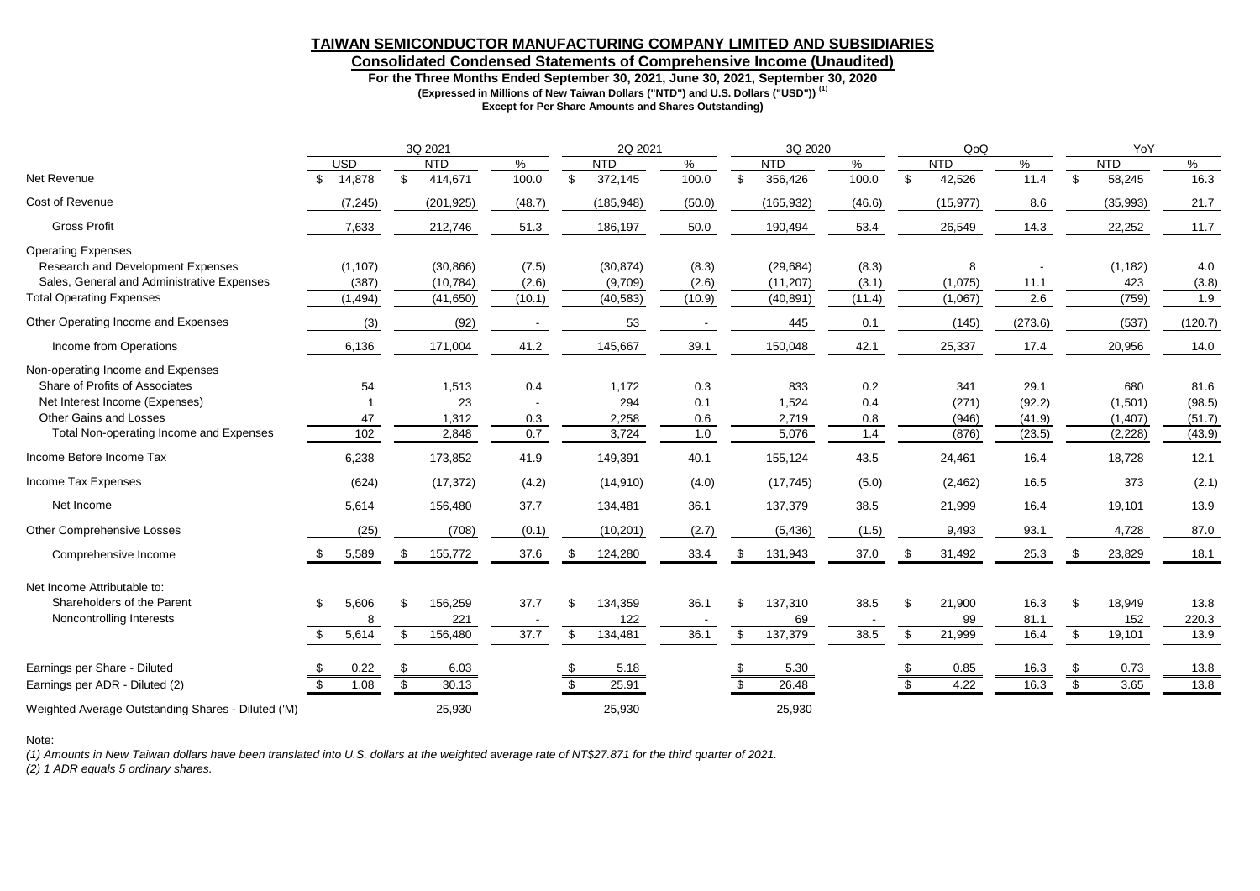## **Consolidated Condensed Statements of Comprehensive Income (Unaudited)**

**For the Three Months Ended September 30, 2021, June 30, 2021, September 30, 2020**

**(Expressed in Millions of New Taiwan Dollars ("NTD") and U.S. Dollars ("USD")) (1)**

**Except for Per Share Amounts and Shares Outstanding)**

|                                                    | 3Q 2021 |            |      |            | 2Q 2021 |       |    |            | 3Q 2020 |        |                |            | QoQ    |       |     |            | YoY     |              |            |         |
|----------------------------------------------------|---------|------------|------|------------|---------|-------|----|------------|---------|--------|----------------|------------|--------|-------|-----|------------|---------|--------------|------------|---------|
|                                                    |         | <b>USD</b> |      | <b>NTD</b> | %       |       |    | <b>NTD</b> | $\%$    |        |                | <b>NTD</b> | $\%$   |       |     | <b>NTD</b> | ℅       |              | <b>NTD</b> | %       |
| Net Revenue                                        | \$      | 14,878     | \$   | 414,671    | 100.0   |       | \$ | 372,145    | 100.0   |        | \$             | 356,426    | 100.0  |       | \$  | 42,526     | 11.4    | $\mathbb{S}$ | 58,245     | 16.3    |
| Cost of Revenue                                    |         | (7, 245)   |      | (201, 925) | (48.7)  |       |    | (185, 948) |         | (50.0) |                | (165, 932) | (46.6) |       |     | (15, 977)  | 8.6     |              | (35,993)   | 21.7    |
| <b>Gross Profit</b>                                |         | 7,633      |      | 212,746    |         | 51.3  |    | 186,197    |         | 50.0   |                | 190,494    | 53.4   |       |     | 26,549     | 14.3    |              | 22,252     | 11.7    |
| <b>Operating Expenses</b>                          |         |            |      |            |         |       |    |            |         |        |                |            |        |       |     |            |         |              |            |         |
| Research and Development Expenses                  |         | (1, 107)   |      | (30, 866)  |         | (7.5) |    | (30, 874)  |         | (8.3)  |                | (29, 684)  |        | (8.3) |     | 8          |         |              | (1, 182)   | 4.0     |
| Sales, General and Administrative Expenses         |         | (387)      |      | (10, 784)  |         | (2.6) |    | (9,709)    |         | (2.6)  |                | (11, 207)  | (3.1)  |       |     | (1,075)    | 11.1    |              | 423        | (3.8)   |
| <b>Total Operating Expenses</b>                    |         | (1, 494)   |      | (41, 650)  | (10.1)  |       |    | (40, 583)  |         | (10.9) |                | (40, 891)  | (11.4) |       |     | (1,067)    | 2.6     |              | (759)      | 1.9     |
| Other Operating Income and Expenses                |         | (3)        |      | (92)       |         |       |    | 53         |         |        |                | 445        | 0.1    |       |     | (145)      | (273.6) |              | (537)      | (120.7) |
| Income from Operations                             |         | 6,136      |      | 171,004    |         | 41.2  |    | 145,667    |         | 39.1   |                | 150,048    | 42.1   |       |     | 25,337     | 17.4    |              | 20,956     | 14.0    |
| Non-operating Income and Expenses                  |         |            |      |            |         |       |    |            |         |        |                |            |        |       |     |            |         |              |            |         |
| Share of Profits of Associates                     |         | 54         |      | 1,513      |         | 0.4   |    | 1,172      |         | 0.3    |                | 833        |        | 0.2   |     | 341        | 29.1    |              | 680        | 81.6    |
| Net Interest Income (Expenses)                     |         |            |      | 23         |         |       |    | 294        |         | 0.1    |                | 1,524      | 0.4    |       |     | (271)      | (92.2)  |              | (1,501)    | (98.5)  |
| <b>Other Gains and Losses</b>                      |         | 47         |      | 1,312      |         | 0.3   |    | 2,258      |         | 0.6    |                | 2,719      | 0.8    |       |     | (946)      | (41.9)  |              | (1,407)    | (51.7)  |
| Total Non-operating Income and Expenses            |         | 102        |      | 2,848      |         | 0.7   |    | 3,724      |         | 1.0    |                | 5,076      | 1.4    |       |     | (876)      | (23.5)  |              | (2, 228)   | (43.9)  |
| Income Before Income Tax                           |         | 6,238      |      | 173,852    | 41.9    |       |    | 149,391    |         | 40.1   |                | 155,124    | 43.5   |       |     | 24,461     | 16.4    |              | 18,728     | 12.1    |
| Income Tax Expenses                                |         | (624)      |      | (17, 372)  |         | (4.2) |    | (14, 910)  |         | (4.0)  |                | (17, 745)  |        | (5.0) |     | (2,462)    | 16.5    |              | 373        | (2.1)   |
| Net Income                                         |         | 5,614      |      | 156,480    | 37.7    |       |    | 134,481    |         | 36.1   |                | 137,379    | 38.5   |       |     | 21,999     | 16.4    |              | 19,101     | 13.9    |
| <b>Other Comprehensive Losses</b>                  |         | (25)       |      | (708)      |         | (0.1) |    | (10, 201)  |         | (2.7)  |                | (5, 436)   |        | (1.5) |     | 9,493      | 93.1    |              | 4,728      | 87.0    |
| Comprehensive Income                               | - S     | 5,589      | - \$ | 155,772    |         | 37.6  |    | 124,280    |         | 33.4   |                | 131,943    | 37.0   |       | -\$ | 31,492     | 25.3    |              | 23,829     | 18.1    |
| Net Income Attributable to:                        |         |            |      |            |         |       |    |            |         |        |                |            |        |       |     |            |         |              |            |         |
| Shareholders of the Parent                         | \$      | 5,606      | \$   | 156,259    | 37.7    |       | \$ | 134,359    |         | 36.1   | R              | 137,310    | 38.5   |       | \$  | 21,900     | 16.3    | \$.          | 18,949     | 13.8    |
| Noncontrolling Interests                           |         | 8          |      | 221        |         |       |    | 122        |         |        |                | 69         |        |       |     | 99         | 81.1    |              | 152        | 220.3   |
|                                                    | - \$    | 5,614      | \$   | 156,480    |         | 37.7  |    | 134,481    |         | 36.1   | £.             | 137,379    | 38.5   |       | -\$ | 21,999     | 16.4    |              | 19,101     | 13.9    |
| Earnings per Share - Diluted                       |         | 0.22       |      | 6.03       |         |       |    |            |         |        |                |            |        |       |     | 0.85       | 16.3    |              | 0.73       |         |
|                                                    |         |            |      |            |         |       |    | 5.18       |         |        |                | 5.30       |        |       |     |            |         |              |            | 13.8    |
| Earnings per ADR - Diluted (2)                     | \$.     | 1.08       | \$.  | 30.13      |         |       |    | 25.91      |         |        | $\mathfrak{L}$ | 26.48      |        |       |     | 4.22       | 16.3    |              | 3.65       | 13.8    |
| Weighted Average Outstanding Shares - Diluted ('M) |         |            |      | 25,930     |         |       |    | 25,930     |         |        |                | 25,930     |        |       |     |            |         |              |            |         |

Note:

*(1) Amounts in New Taiwan dollars have been translated into U.S. dollars at the weighted average rate of NT\$27.871 for the third quarter of 2021.*

*(2) 1 ADR equals 5 ordinary shares.*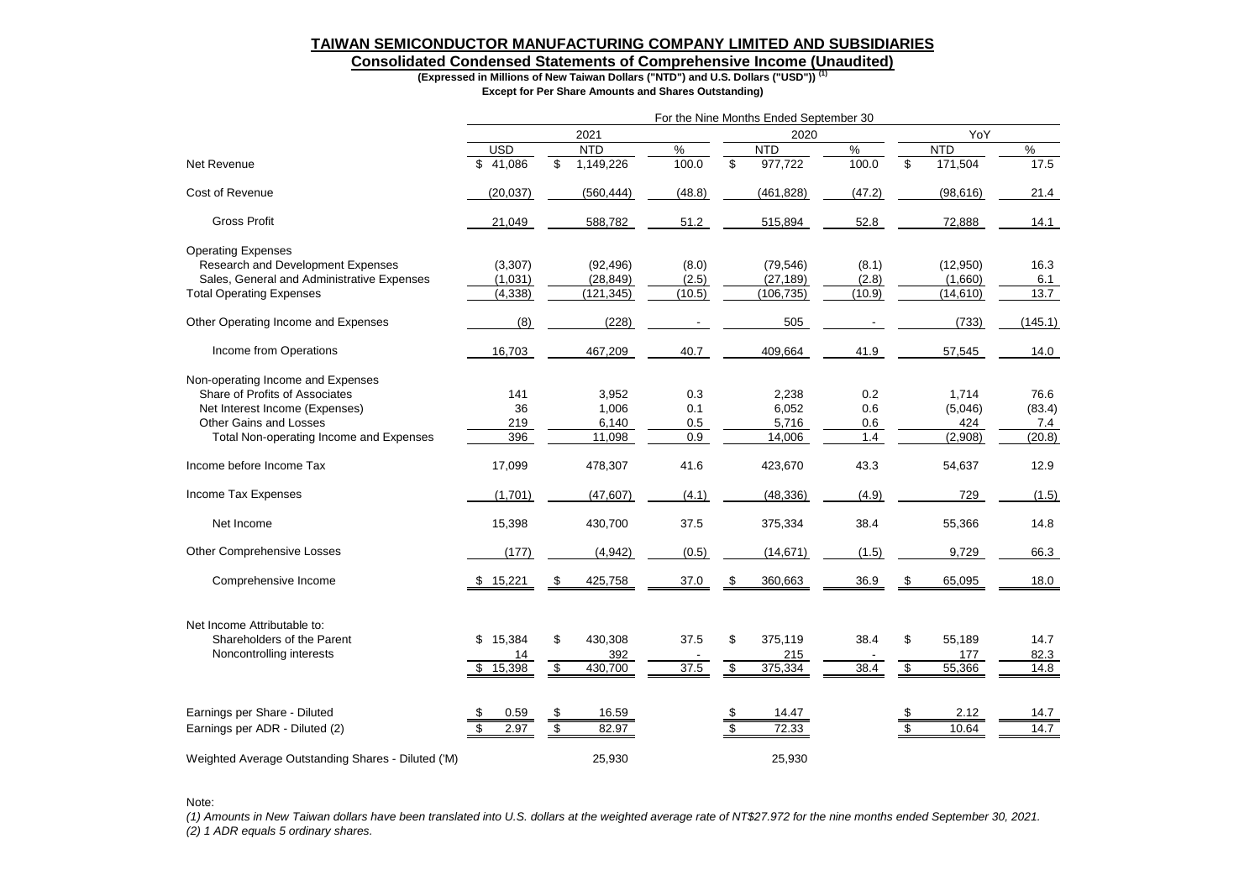## **Consolidated Condensed Statements of Comprehensive Income (Unaudited)**

**(Expressed in Millions of New Taiwan Dollars ("NTD") and U.S. Dollars ("USD")) (1)**

**Except for Per Share Amounts and Shares Outstanding)**

|                                                    | For the Nine Months Ended September 30 |                           |            |        |                |            |        |                         |            |         |  |  |  |
|----------------------------------------------------|----------------------------------------|---------------------------|------------|--------|----------------|------------|--------|-------------------------|------------|---------|--|--|--|
|                                                    |                                        |                           | 2021       |        |                | 2020       |        |                         | YoY        |         |  |  |  |
|                                                    | <b>USD</b>                             |                           | <b>NTD</b> | %      |                | <b>NTD</b> | %      |                         | <b>NTD</b> | $\%$    |  |  |  |
| Net Revenue                                        | 41,086                                 | \$                        | 1,149,226  | 100.0  | \$             | 977,722    | 100.0  | \$                      | 171,504    | 17.5    |  |  |  |
| Cost of Revenue                                    | (20, 037)                              |                           | (560, 444) | (48.8) |                | (461, 828) | (47.2) |                         | (98, 616)  | 21.4    |  |  |  |
| <b>Gross Profit</b>                                | 21,049                                 |                           | 588,782    | 51.2   |                | 515,894    | 52.8   |                         | 72,888     | 14.1    |  |  |  |
| <b>Operating Expenses</b>                          |                                        |                           |            |        |                |            |        |                         |            |         |  |  |  |
| Research and Development Expenses                  | (3,307)                                |                           | (92, 496)  | (8.0)  |                | (79, 546)  | (8.1)  |                         | (12,950)   | 16.3    |  |  |  |
| Sales, General and Administrative Expenses         | (1,031)                                |                           | (28, 849)  | (2.5)  |                | (27, 189)  | (2.8)  |                         | (1,660)    | 6.1     |  |  |  |
| <b>Total Operating Expenses</b>                    | (4, 338)                               |                           | (121, 345) | (10.5) |                | (106, 735) | (10.9) |                         | (14, 610)  | 13.7    |  |  |  |
| Other Operating Income and Expenses                | (8)                                    |                           | (228)      |        |                | 505        |        |                         | (733)      | (145.1) |  |  |  |
| Income from Operations                             | 16,703                                 |                           | 467,209    | 40.7   |                | 409,664    | 41.9   |                         | 57,545     | 14.0    |  |  |  |
| Non-operating Income and Expenses                  |                                        |                           |            |        |                |            |        |                         |            |         |  |  |  |
| Share of Profits of Associates                     | 141                                    |                           | 3,952      | 0.3    |                | 2,238      | 0.2    |                         | 1,714      | 76.6    |  |  |  |
| Net Interest Income (Expenses)                     | 36                                     |                           | 1,006      | 0.1    |                | 6,052      | 0.6    |                         | (5,046)    | (83.4)  |  |  |  |
| <b>Other Gains and Losses</b>                      | 219                                    |                           | 6,140      | 0.5    |                | 5,716      | 0.6    |                         | 424        | 7.4     |  |  |  |
| Total Non-operating Income and Expenses            | 396                                    |                           | 11,098     | 0.9    |                | 14,006     | 1.4    |                         | (2,908)    | (20.8)  |  |  |  |
| Income before Income Tax                           | 17,099                                 |                           | 478,307    | 41.6   |                | 423,670    | 43.3   |                         | 54,637     | 12.9    |  |  |  |
| Income Tax Expenses                                | (1,701)                                |                           | (47, 607)  | (4.1)  |                | (48, 336)  | (4.9)  |                         | 729        | (1.5)   |  |  |  |
| Net Income                                         | 15,398                                 |                           | 430,700    | 37.5   |                | 375,334    | 38.4   |                         | 55,366     | 14.8    |  |  |  |
| Other Comprehensive Losses                         | (177)                                  |                           | (4,942)    | (0.5)  |                | (14, 671)  | (1.5)  |                         | 9,729      | 66.3    |  |  |  |
| Comprehensive Income                               | 15,221<br>S.                           |                           | 425,758    | 37.0   |                | 360,663    | 36.9   | -S                      | 65,095     | 18.0    |  |  |  |
| Net Income Attributable to:                        |                                        |                           |            |        |                |            |        |                         |            |         |  |  |  |
| Shareholders of the Parent                         | \$<br>15,384                           | \$                        | 430,308    | 37.5   | \$             | 375,119    | 38.4   | \$                      | 55,189     | 14.7    |  |  |  |
| Noncontrolling interests                           | 14                                     |                           | 392        |        |                | 215        |        |                         | 177        | 82.3    |  |  |  |
|                                                    | 15,398<br>\$                           | $\boldsymbol{\mathsf{s}}$ | 430,700    | 37.5   | \$             | 375,334    | 38.4   | \$                      | 55,366     | 14.8    |  |  |  |
| Earnings per Share - Diluted                       | 0.59                                   | \$                        | 16.59      |        |                | 14.47      |        |                         | 2.12       | 14.7    |  |  |  |
| Earnings per ADR - Diluted (2)                     | 2.97                                   | $\overline{\mathcal{S}}$  | 82.97      |        | $\mathfrak{s}$ | 72.33      |        | $\overline{\mathbf{s}}$ | 10.64      | 14.7    |  |  |  |
|                                                    |                                        |                           |            |        |                |            |        |                         |            |         |  |  |  |
| Weighted Average Outstanding Shares - Diluted ('M) |                                        |                           | 25,930     |        |                | 25,930     |        |                         |            |         |  |  |  |

Note:

*(1) Amounts in New Taiwan dollars have been translated into U.S. dollars at the weighted average rate of NT\$27.972 for the nine months ended September 30, 2021. (2) 1 ADR equals 5 ordinary shares.*